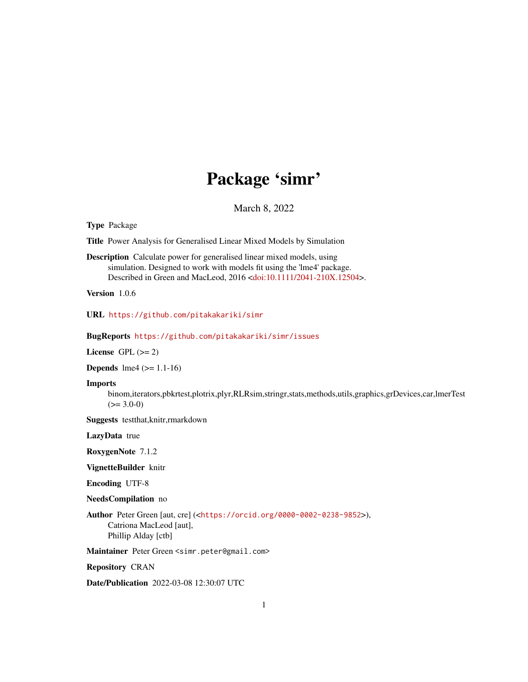# Package 'simr'

March 8, 2022

<span id="page-0-0"></span>Type Package

Title Power Analysis for Generalised Linear Mixed Models by Simulation

Description Calculate power for generalised linear mixed models, using simulation. Designed to work with models fit using the 'lme4' package. Described in Green and MacLeod, 2016 [<doi:10.1111/2041-210X.12504>](https://doi.org/10.1111/2041-210X.12504).

Version 1.0.6

URL <https://github.com/pitakakariki/simr>

BugReports <https://github.com/pitakakariki/simr/issues>

License GPL  $(>= 2)$ 

**Depends**  $\text{Im}e4$  ( $>= 1.1-16$ )

Imports

binom,iterators,pbkrtest,plotrix,plyr,RLRsim,stringr,stats,methods,utils,graphics,grDevices,car,lmerTest  $(>= 3.0-0)$ 

Suggests testthat,knitr,rmarkdown

LazyData true

RoxygenNote 7.1.2

VignetteBuilder knitr

Encoding UTF-8

NeedsCompilation no

Author Peter Green [aut, cre] (<<https://orcid.org/0000-0002-0238-9852>>), Catriona MacLeod [aut], Phillip Alday [ctb]

Maintainer Peter Green <simr.peter@gmail.com>

Repository CRAN

Date/Publication 2022-03-08 12:30:07 UTC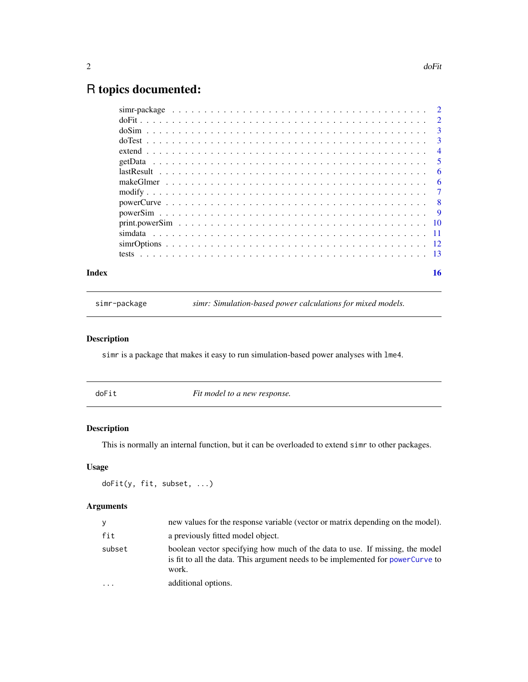## <span id="page-1-0"></span>R topics documented:

|  | $lastResult \dots \dots \dots \dots \dots \dots \dots \dots \dots \dots \dots \dots \dots \dots \dots \dots \dots$ |
|--|--------------------------------------------------------------------------------------------------------------------|
|  |                                                                                                                    |
|  |                                                                                                                    |
|  |                                                                                                                    |
|  |                                                                                                                    |
|  |                                                                                                                    |
|  |                                                                                                                    |
|  |                                                                                                                    |
|  |                                                                                                                    |
|  | 16                                                                                                                 |

simr-package *simr: Simulation-based power calculations for mixed models.*

#### Description

simr is a package that makes it easy to run simulation-based power analyses with lme4.

<span id="page-1-1"></span>doFit *Fit model to a new response.*

#### Description

This is normally an internal function, but it can be overloaded to extend simr to other packages.

#### Usage

```
doFit(y, fit, subset, ...)
```

| y         | new values for the response variable (vector or matrix depending on the model).                                                                                          |
|-----------|--------------------------------------------------------------------------------------------------------------------------------------------------------------------------|
| fit       | a previously fitted model object.                                                                                                                                        |
| subset    | boolean vector specifying how much of the data to use. If missing, the model<br>is fit to all the data. This argument needs to be implemented for powerCurve to<br>work. |
| $\ddotsc$ | additional options.                                                                                                                                                      |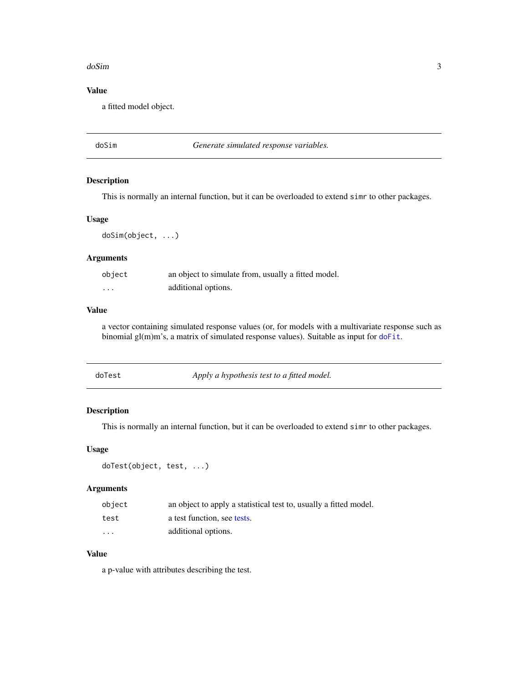#### <span id="page-2-0"></span>doSim 3

#### Value

a fitted model object.

#### <span id="page-2-1"></span>doSim *Generate simulated response variables.*

#### Description

This is normally an internal function, but it can be overloaded to extend simr to other packages.

#### Usage

doSim(object, ...)

#### Arguments

| object               | an object to simulate from, usually a fitted model. |
|----------------------|-----------------------------------------------------|
| $\ddot{\phantom{0}}$ | additional options.                                 |

#### Value

a vector containing simulated response values (or, for models with a multivariate response such as binomial gl(m)m's, a matrix of simulated response values). Suitable as input for [doFit](#page-1-1).

<span id="page-2-2"></span>

| doTest | Apply a hypothesis test to a fitted model. |
|--------|--------------------------------------------|
|        |                                            |

#### Description

This is normally an internal function, but it can be overloaded to extend simr to other packages.

#### Usage

```
doTest(object, test, ...)
```
#### Arguments

| object | an object to apply a statistical test to, usually a fitted model. |
|--------|-------------------------------------------------------------------|
| test   | a test function, see tests.                                       |
| .      | additional options.                                               |

#### Value

a p-value with attributes describing the test.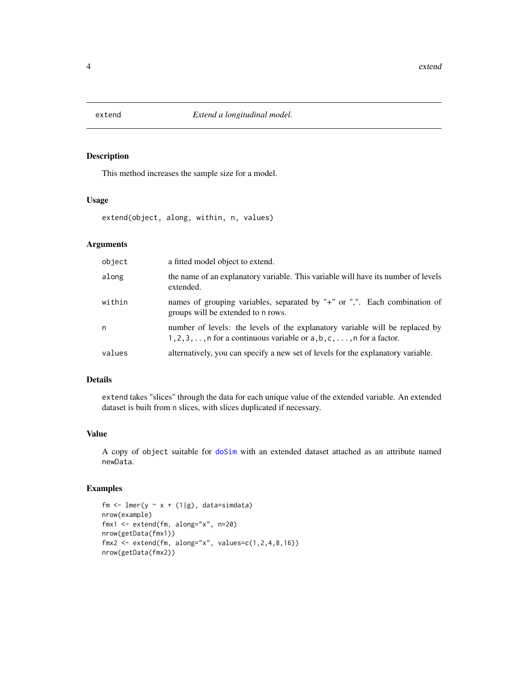<span id="page-3-0"></span>

This method increases the sample size for a model.

#### Usage

extend(object, along, within, n, values)

#### Arguments

| object | a fitted model object to extend.                                                                                                                                       |
|--------|------------------------------------------------------------------------------------------------------------------------------------------------------------------------|
| along  | the name of an explanatory variable. This variable will have its number of levels<br>extended.                                                                         |
| within | names of grouping variables, separated by "+" or ",". Each combination of<br>groups will be extended to n rows.                                                        |
| n      | number of levels: the levels of the explanatory variable will be replaced by<br>$1, 2, 3, \ldots$ , n for a continuous variable or $a, b, c, \ldots$ , n for a factor. |
| values | alternatively, you can specify a new set of levels for the explanatory variable.                                                                                       |

#### Details

extend takes "slices" through the data for each unique value of the extended variable. An extended dataset is built from n slices, with slices duplicated if necessary.

#### Value

A copy of object suitable for [doSim](#page-2-1) with an extended dataset attached as an attribute named newData.

```
fm \le lmer(y \sim x + (1|g), data=simdata)
nrow(example)
fmx1 <- extend(fm, along="x", n=20)
nrow(getData(fmx1))
fmx2 \leq -extend(fm, along="x", values=c(1, 2, 4, 8, 16))nrow(getData(fmx2))
```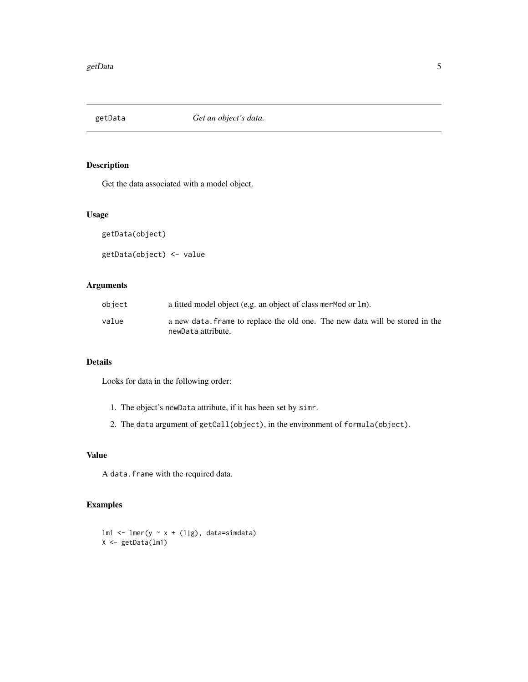<span id="page-4-1"></span><span id="page-4-0"></span>

Get the data associated with a model object.

#### Usage

getData(object)

getData(object) <- value

#### Arguments

| object | a fitted model object (e.g. an object of class mer Mod or 1m).               |
|--------|------------------------------------------------------------------------------|
| value  | a new data. Frame to replace the old one. The new data will be stored in the |
|        | newData attribute.                                                           |

#### Details

Looks for data in the following order:

- 1. The object's newData attribute, if it has been set by simr.
- 2. The data argument of getCall(object), in the environment of formula(object).

#### Value

A data.frame with the required data.

```
lm1 \leftarrow lmer(y \sim x + (1|g), data=simdata)X <- getData(lm1)
```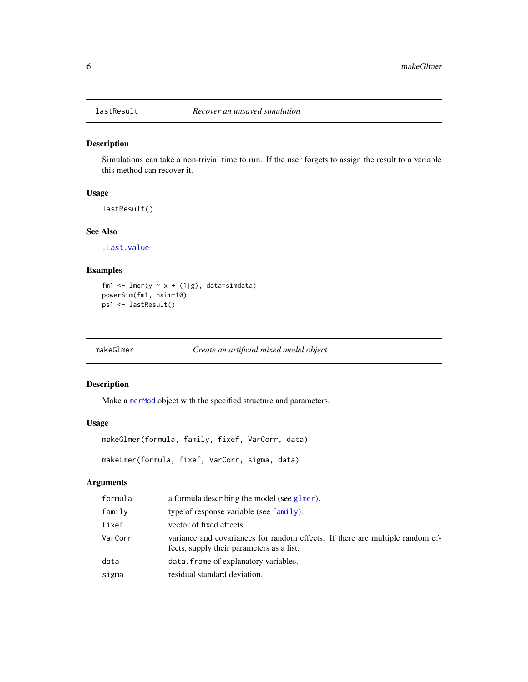<span id="page-5-0"></span>

Simulations can take a non-trivial time to run. If the user forgets to assign the result to a variable this method can recover it.

#### Usage

lastResult()

#### See Also

[.Last.value](#page-0-0)

#### Examples

```
fm1 <- lmer(y \sim x + (1|g), data=simdata)
powerSim(fm1, nsim=10)
ps1 <- lastResult()
```
makeGlmer *Create an artificial mixed model object*

#### Description

Make a [merMod](#page-0-0) object with the specified structure and parameters.

#### Usage

```
makeGlmer(formula, family, fixef, VarCorr, data)
makeLmer(formula, fixef, VarCorr, sigma, data)
```

| formula | a formula describing the model (see glmer).                                                                                |
|---------|----------------------------------------------------------------------------------------------------------------------------|
| family  | type of response variable (see $family$ ).                                                                                 |
| fixef   | vector of fixed effects                                                                                                    |
| VarCorr | variance and covariances for random effects. If there are multiple random ef-<br>fects, supply their parameters as a list. |
| data    | data. frame of explanatory variables.                                                                                      |
| sigma   | residual standard deviation.                                                                                               |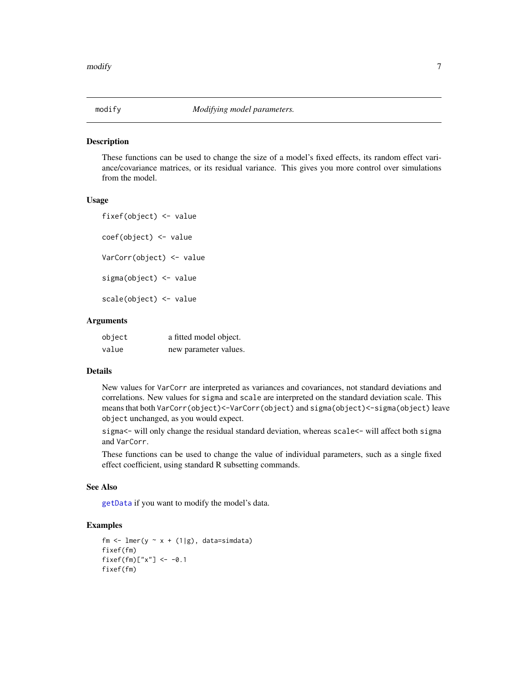<span id="page-6-0"></span>

These functions can be used to change the size of a model's fixed effects, its random effect variance/covariance matrices, or its residual variance. This gives you more control over simulations from the model.

#### Usage

fixef(object) <- value coef(object) <- value VarCorr(object) <- value sigma(object) <- value scale(object) <- value

#### Arguments

| object | a fitted model object. |
|--------|------------------------|
| value  | new parameter values.  |

#### Details

New values for VarCorr are interpreted as variances and covariances, not standard deviations and correlations. New values for sigma and scale are interpreted on the standard deviation scale. This means that both VarCorr(object)<-VarCorr(object) and sigma(object)<-sigma(object) leave object unchanged, as you would expect.

sigma<- will only change the residual standard deviation, whereas scale<- will affect both sigma and VarCorr.

These functions can be used to change the value of individual parameters, such as a single fixed effect coefficient, using standard R subsetting commands.

#### See Also

[getData](#page-4-1) if you want to modify the model's data.

```
fm \leq lmer(y \sim x + (1|g), data=simdata)
fixef(fm)
fixef(fm)["x"] <- -0.1
fixef(fm)
```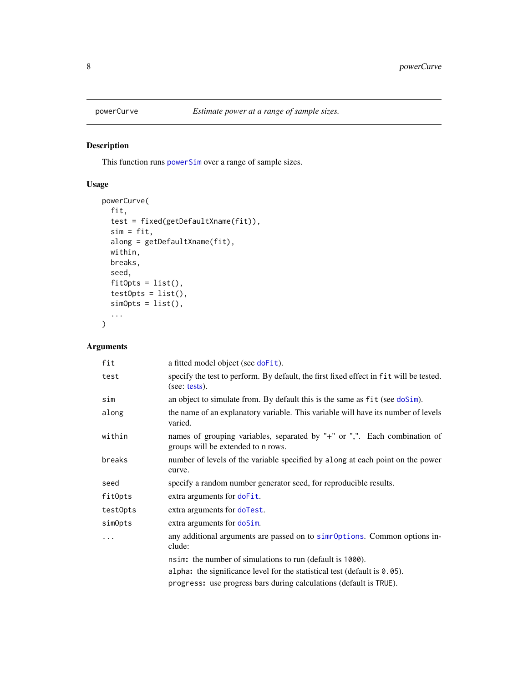<span id="page-7-1"></span><span id="page-7-0"></span>

This function runs [powerSim](#page-8-1) over a range of sample sizes.

#### Usage

```
powerCurve(
  fit,
  test = fixed(getDefaultXname(fit)),
  sim = fit,
  along = getDefaultXname(fit),
  within,
  breaks,
  seed,
  fitOpts = list(),
  test0pts = list(),simOrts = list(),...
\mathcal{L}
```

| fit      | a fitted model object (see doFit).                                                                              |
|----------|-----------------------------------------------------------------------------------------------------------------|
| test     | specify the test to perform. By default, the first fixed effect in fit will be tested.<br>(see: tests).         |
| sim      | an object to simulate from. By default this is the same as fit (see doSim).                                     |
| along    | the name of an explanatory variable. This variable will have its number of levels<br>varied.                    |
| within   | names of grouping variables, separated by "+" or ",". Each combination of<br>groups will be extended to n rows. |
| breaks   | number of levels of the variable specified by along at each point on the power<br>curve.                        |
| seed     | specify a random number generator seed, for reproducible results.                                               |
| fitOpts  | extra arguments for doFit.                                                                                      |
| test0pts | extra arguments for doTest.                                                                                     |
| simOpts  | extra arguments for doSim.                                                                                      |
| .        | any additional arguments are passed on to simroptions. Common options in-<br>clude:                             |
|          | nsim: the number of simulations to run (default is 1000).                                                       |
|          | alpha: the significance level for the statistical test (default is $0.05$ ).                                    |
|          | progress: use progress bars during calculations (default is TRUE).                                              |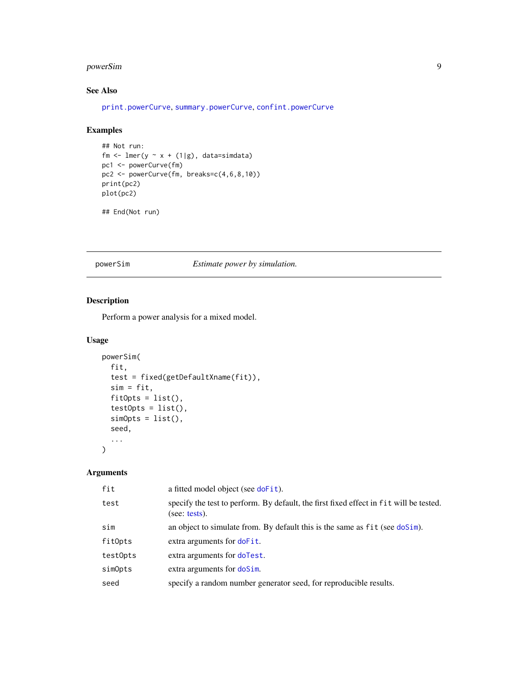#### <span id="page-8-0"></span>powerSim 9

#### See Also

[print.powerCurve](#page-9-1), [summary.powerCurve](#page-9-1), [confint.powerCurve](#page-9-1)

#### Examples

```
## Not run:
fm \leftarrow lmer(y \sim x + (1|g), data=simdata)
pc1 <- powerCurve(fm)
pc2 <- powerCurve(fm, breaks=c(4,6,8,10))
print(pc2)
plot(pc2)
```

```
## End(Not run)
```
#### <span id="page-8-1"></span>powerSim *Estimate power by simulation.*

#### Description

Perform a power analysis for a mixed model.

#### Usage

```
powerSim(
  fit,
  test = fixed(getDefaultXname(fit)),
  sim = fit,
  fitOpts = list(),
  test0pts = list(),simOrts = list(),
  seed,
  ...
\mathcal{L}
```

| fit      | a fitted model object (see doFit).                                                                      |
|----------|---------------------------------------------------------------------------------------------------------|
| test     | specify the test to perform. By default, the first fixed effect in fit will be tested.<br>(see: tests). |
| sim      | an object to simulate from. By default this is the same as fit (see doSim).                             |
| fitOpts  | extra arguments for doFit.                                                                              |
| testOpts | extra arguments for doTest.                                                                             |
| simOpts  | extra arguments for doSim.                                                                              |
| seed     | specify a random number generator seed, for reproducible results.                                       |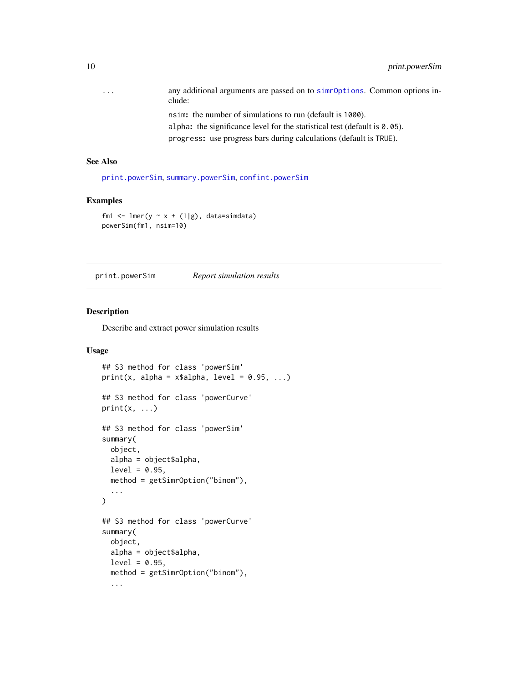<span id="page-9-0"></span>

| $\cdot$ $\cdot$ $\cdot$ | any additional arguments are passed on to simploptions. Common options in-<br>clude:       |
|-------------------------|--------------------------------------------------------------------------------------------|
|                         | nsim: the number of simulations to run (default is 1000).                                  |
|                         | alpha: the significance level for the statistical test (default is $\theta$ , $\theta$ 5). |
|                         |                                                                                            |

progress: use progress bars during calculations (default is TRUE).

#### See Also

[print.powerSim](#page-9-2), [summary.powerSim](#page-9-1), [confint.powerSim](#page-9-1)

#### Examples

```
fm1 <- lmer(y \sim x + (1|g), data=simdata)
powerSim(fm1, nsim=10)
```
<span id="page-9-2"></span>print.powerSim *Report simulation results*

#### <span id="page-9-1"></span>Description

Describe and extract power simulation results

#### Usage

```
## S3 method for class 'powerSim'
print(x, alpha = x$alpha, level = 0.95, ...)## S3 method for class 'powerCurve'
print(x, \ldots)## S3 method for class 'powerSim'
summary(
 object,
 alpha = object$alpha,
 level = 0.95,
 method = getSimrOption("binom"),
  ...
)
## S3 method for class 'powerCurve'
summary(
 object,
  alpha = object$alpha,
  level = 0.95,method = getSimrOption("binom"),
  ...
```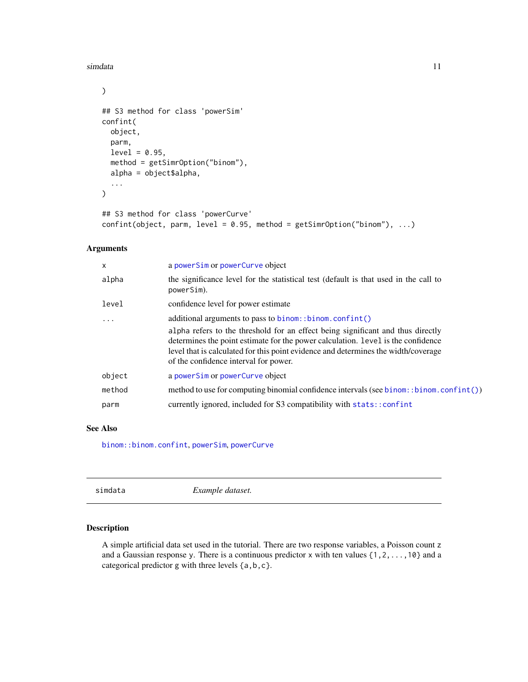#### <span id="page-10-0"></span>simdata and the state of the state of the state of the state of the state of the state of the state of the state of the state of the state of the state of the state of the state of the state of the state of the state of th

```
\mathcal{L}## S3 method for class 'powerSim'
confint(
  object,
  parm,
  level = 0.95,method = getSimrOption("binom"),
  alpha = object$alpha,
  ...
\mathcal{L}## S3 method for class 'powerCurve'
```

```
confint(object, parm, level = 0.95, method = getSimrOption("binom"), ...)
```
#### Arguments

| $\mathsf{x}$ | a powerSim or powerCurve object                                                                                                                                                                                                                                                                    |
|--------------|----------------------------------------------------------------------------------------------------------------------------------------------------------------------------------------------------------------------------------------------------------------------------------------------------|
| alpha        | the significance level for the statistical test (default is that used in the call to<br>powerSim).                                                                                                                                                                                                 |
| level        | confidence level for power estimate                                                                                                                                                                                                                                                                |
| .            | additional arguments to pass to binom::binom.confint()                                                                                                                                                                                                                                             |
|              | alpha refers to the threshold for an effect being significant and thus directly<br>determines the point estimate for the power calculation. Level is the confidence<br>level that is calculated for this point evidence and determines the width/coverage<br>of the confidence interval for power. |
| object       | a powerSim or powerCurve object                                                                                                                                                                                                                                                                    |
| method       | method to use for computing binomial confidence intervals (see binom: :binom.confint())                                                                                                                                                                                                            |
| parm         | currently ignored, included for S3 compatibility with stats:: confint                                                                                                                                                                                                                              |

#### See Also

[binom::binom.confint](#page-0-0), [powerSim](#page-8-1), [powerCurve](#page-7-1)

| Example dataset. |  |
|------------------|--|
|                  |  |

#### Description

A simple artificial data set used in the tutorial. There are two response variables, a Poisson count z and a Gaussian response y. There is a continuous predictor x with ten values {1,2,...,10} and a categorical predictor g with three levels {a,b,c}.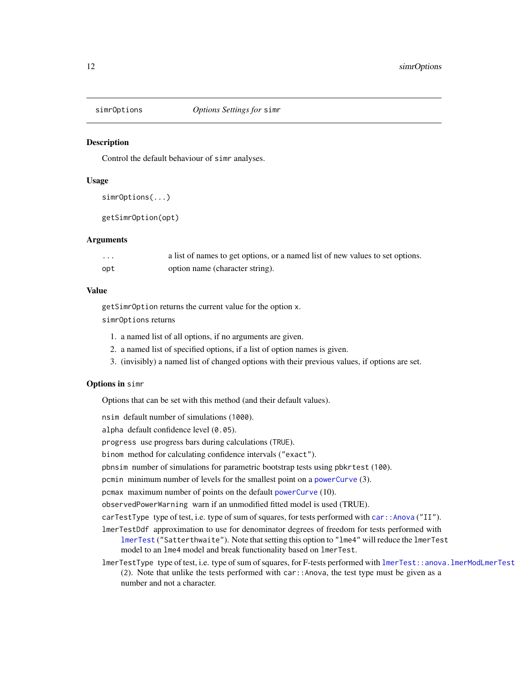<span id="page-11-1"></span><span id="page-11-0"></span>

Control the default behaviour of simr analyses.

#### Usage

```
simrOptions(...)
```
getSimrOption(opt)

#### Arguments

| $\cdots$ | a list of names to get options, or a named list of new values to set options. |
|----------|-------------------------------------------------------------------------------|
| opt      | option name (character string).                                               |

#### Value

getSimrOption returns the current value for the option x.

simrOptions returns

- 1. a named list of all options, if no arguments are given.
- 2. a named list of specified options, if a list of option names is given.
- 3. (invisibly) a named list of changed options with their previous values, if options are set.

#### Options in simr

Options that can be set with this method (and their default values).

nsim default number of simulations (1000).

alpha default confidence level (0.05).

progress use progress bars during calculations (TRUE).

binom method for calculating confidence intervals ("exact").

pbnsim number of simulations for parametric bootstrap tests using pbkrtest (100).

pcmin minimum number of levels for the smallest point on a [powerCurve](#page-7-1) (3).

pcmax maximum number of points on the default [powerCurve](#page-7-1) (10).

observedPowerWarning warn if an unmodified fitted model is used (TRUE).

carTestType type of test, i.e. type of sum of squares, for tests performed with  $car:Annova ("II").$ 

- lmerTestDdf approximation to use for denominator degrees of freedom for tests performed with [lmerTest](#page-0-0) ("Satterthwaite"). Note that setting this option to "lme4" will reduce the lmerTest model to an lme4 model and break functionality based on lmerTest.
- lmerTestType type of test, i.e. type of sum of squares, for F-tests performed with [lmerTest::anova.lmerModLmerTest](#page-0-0) (2). Note that unlike the tests performed with car::Anova, the test type must be given as a number and not a character.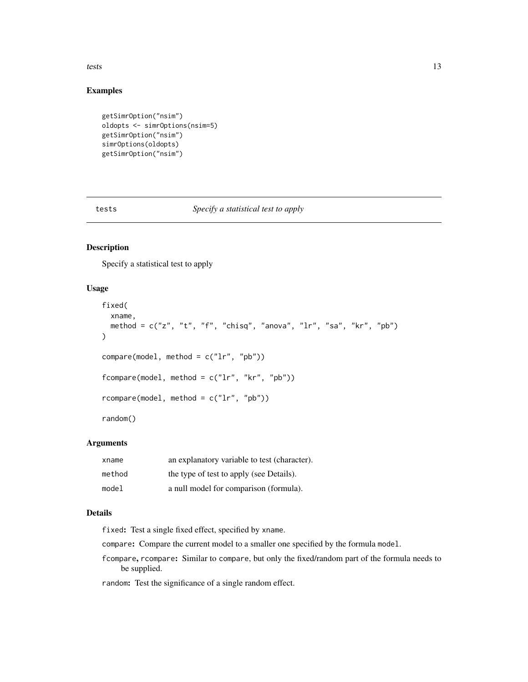<span id="page-12-0"></span>tests and the state of the state of the state of the state of the state of the state of the state of the state of the state of the state of the state of the state of the state of the state of the state of the state of the

#### Examples

```
getSimrOption("nsim")
oldopts <- simrOptions(nsim=5)
getSimrOption("nsim")
simrOptions(oldopts)
getSimrOption("nsim")
```
<span id="page-12-1"></span>tests *Specify a statistical test to apply*

#### Description

Specify a statistical test to apply

#### Usage

```
fixed(
  xname,
  method = c("z", "t", "f", "chisq", "anova", "lr", "sa", "kr", "pb")
)
compare(model, method = c("lr", "pb"))
fcompare(model, method = c("lr", "kr", "pb"))
rcompare(model, method = c("lr", "pb"))
random()
```
#### Arguments

| xname  | an explanatory variable to test (character). |
|--------|----------------------------------------------|
| method | the type of test to apply (see Details).     |
| model  | a null model for comparison (formula).       |

#### Details

fixed: Test a single fixed effect, specified by xname.

- compare: Compare the current model to a smaller one specified by the formula model.
- fcompare, rcompare: Similar to compare, but only the fixed/random part of the formula needs to be supplied.

random: Test the significance of a single random effect.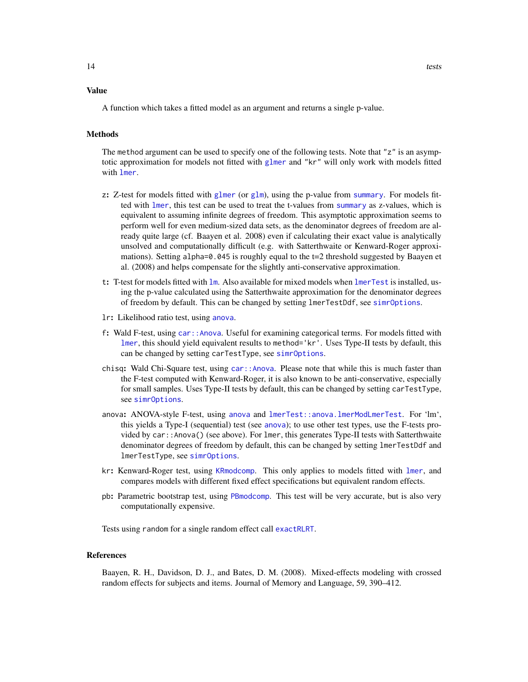#### <span id="page-13-0"></span>Value

A function which takes a fitted model as an argument and returns a single p-value.

#### Methods

The method argument can be used to specify one of the following tests. Note that "z" is an asymptotic approximation for models not fitted with [glmer](#page-0-0) and "kr" will only work with models fitted with [lmer](#page-0-0).

- z: Z-test for models fitted with [glmer](#page-0-0) (or [glm](#page-0-0)), using the p-value from [summary](#page-0-0). For models fitted with [lmer](#page-0-0), this test can be used to treat the t-values from [summary](#page-0-0) as z-values, which is equivalent to assuming infinite degrees of freedom. This asymptotic approximation seems to perform well for even medium-sized data sets, as the denominator degrees of freedom are already quite large (cf. Baayen et al. 2008) even if calculating their exact value is analytically unsolved and computationally difficult (e.g. with Satterthwaite or Kenward-Roger approximations). Setting alpha=0.045 is roughly equal to the t=2 threshold suggested by Baayen et al. (2008) and helps compensate for the slightly anti-conservative approximation.
- t: T-test for models fitted with [lm](#page-0-0). Also available for mixed models when [lmerTest](#page-0-0) is installed, using the p-value calculated using the Satterthwaite approximation for the denominator degrees of freedom by default. This can be changed by setting lmerTestDdf, see [simrOptions](#page-11-1).
- lr: Likelihood ratio test, using [anova](#page-0-0).
- f: Wald F-test, using [car::Anova](#page-0-0). Useful for examining categorical terms. For models fitted with [lmer](#page-0-0), this should yield equivalent results to method='kr'. Uses Type-II tests by default, this can be changed by setting carTestType, see [simrOptions](#page-11-1).
- chisq: Wald Chi-Square test, using [car::Anova](#page-0-0). Please note that while this is much faster than the F-test computed with Kenward-Roger, it is also known to be anti-conservative, especially for small samples. Uses Type-II tests by default, this can be changed by setting carTestType, see [simrOptions](#page-11-1).
- anova: ANOVA-style F-test, using [anova](#page-0-0) and [lmerTest::anova.lmerModLmerTest](#page-0-0). For 'lm', this yields a Type-I (sequential) test (see [anova](#page-0-0)); to use other test types, use the F-tests provided by car::Anova() (see above). For lmer, this generates Type-II tests with Satterthwaite denominator degrees of freedom by default, this can be changed by setting lmerTestDdf and lmerTestType, see [simrOptions](#page-11-1).
- kr: Kenward-Roger test, using [KRmodcomp](#page-0-0). This only applies to models fitted with [lmer](#page-0-0), and compares models with different fixed effect specifications but equivalent random effects.
- pb: Parametric bootstrap test, using [PBmodcomp](#page-0-0). This test will be very accurate, but is also very computationally expensive.

Tests using random for a single random effect call [exactRLRT](#page-0-0).

#### References

Baayen, R. H., Davidson, D. J., and Bates, D. M. (2008). Mixed-effects modeling with crossed random effects for subjects and items. Journal of Memory and Language, 59, 390–412.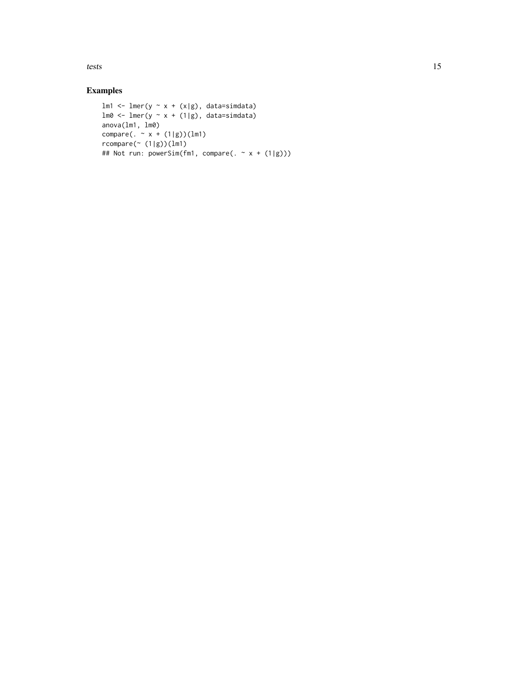tests and the state of the state of the state of the state of the state of the state of the state of the state of the state of the state of the state of the state of the state of the state of the state of the state of the

```
lm1 \leftarrow lmer(y \sim x + (x|g), data=simdata)lm0 \leftarrow lmer(y \sim x + (1|g), data=simdata)anova(lm1, lm0)
compare(. - x + (1|g))(1m1)rcompare(~ (1|g))(lm1)
## Not run: powerSim(fm1, compare(. \sim x + (1|g)))
```